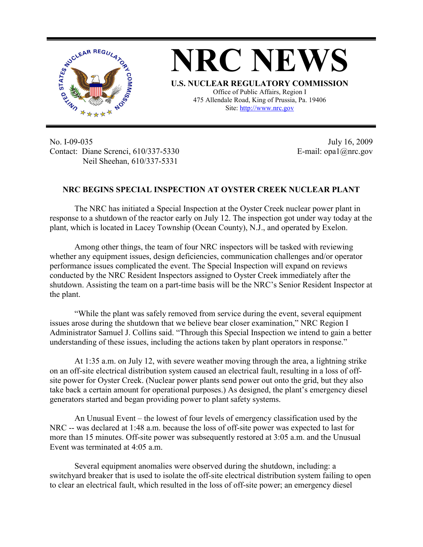

**NRC NEWS U.S. NUCLEAR REGULATORY COMMISSION** Office of Public Affairs, Region I 475 Allendale Road, King of Prussia, Pa. 19406

Site: http://www.nrc.gov

No. I-09-035 Contact: Diane Screnci, 610/337-5330 Neil Sheehan, 610/337-5331

July 16, 2009 E-mail: opa1@nrc.gov

## **NRC BEGINS SPECIAL INSPECTION AT OYSTER CREEK NUCLEAR PLANT**

The NRC has initiated a Special Inspection at the Oyster Creek nuclear power plant in response to a shutdown of the reactor early on July 12. The inspection got under way today at the plant, which is located in Lacey Township (Ocean County), N.J., and operated by Exelon.

Among other things, the team of four NRC inspectors will be tasked with reviewing whether any equipment issues, design deficiencies, communication challenges and/or operator performance issues complicated the event. The Special Inspection will expand on reviews conducted by the NRC Resident Inspectors assigned to Oyster Creek immediately after the shutdown. Assisting the team on a part-time basis will be the NRC's Senior Resident Inspector at the plant.

 "While the plant was safely removed from service during the event, several equipment issues arose during the shutdown that we believe bear closer examination," NRC Region I Administrator Samuel J. Collins said. "Through this Special Inspection we intend to gain a better understanding of these issues, including the actions taken by plant operators in response."

 At 1:35 a.m. on July 12, with severe weather moving through the area, a lightning strike on an off-site electrical distribution system caused an electrical fault, resulting in a loss of offsite power for Oyster Creek. (Nuclear power plants send power out onto the grid, but they also take back a certain amount for operational purposes.) As designed, the plant's emergency diesel generators started and began providing power to plant safety systems.

An Unusual Event – the lowest of four levels of emergency classification used by the NRC -- was declared at 1:48 a.m. because the loss of off-site power was expected to last for more than 15 minutes. Off-site power was subsequently restored at 3:05 a.m. and the Unusual Event was terminated at  $4.05$  a.m.

Several equipment anomalies were observed during the shutdown, including: a switchyard breaker that is used to isolate the off-site electrical distribution system failing to open to clear an electrical fault, which resulted in the loss of off-site power; an emergency diesel